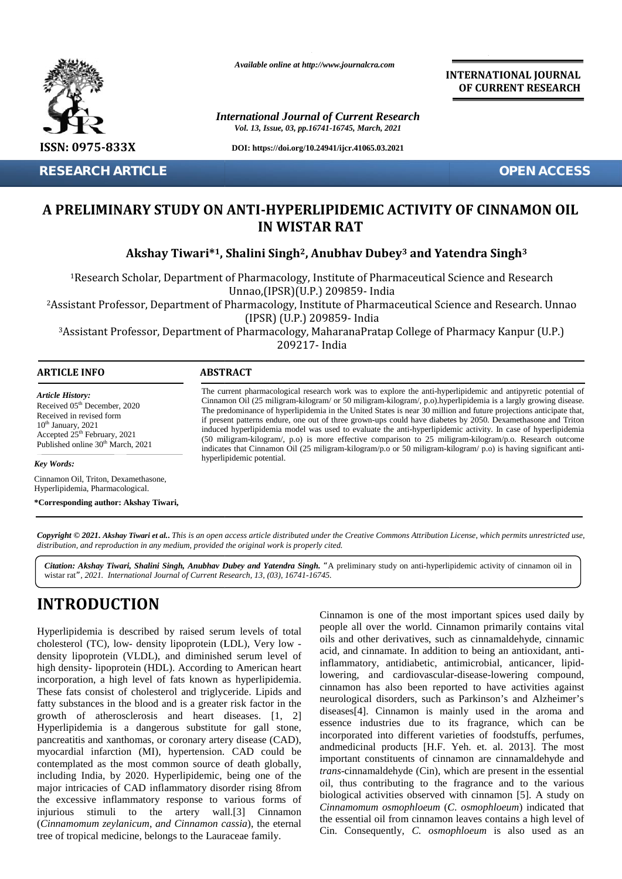

**RESEARCH ARTICLE OPEN ACCESS**

*Available online at http://www.journalcra.com*

*International Journal of Current Research Vol. 13, Issue, 03, pp.16741-16745, March, 2021*

**DOI: https://doi.org/10.24941/ijcr.41065.03.2021**

**INTERNATIONAL JOURNAL OF CURRENT RESEARCH**

## **A PRELIMINARY STUDY ON ANTI-HYPERLIPIDEMIC ACTIVITY OF CINNAMON OIL IN WISTAR RAT**

| <b>RESEARCH ARTICLE</b>                                                                                                                                                                                                                     |                                                                                                                                                                                                                                                                                                                                                                                                                                                                                                                                                                                                                                                                                                                                                                                                                     |  |  |  |  |  |  |  |  |
|---------------------------------------------------------------------------------------------------------------------------------------------------------------------------------------------------------------------------------------------|---------------------------------------------------------------------------------------------------------------------------------------------------------------------------------------------------------------------------------------------------------------------------------------------------------------------------------------------------------------------------------------------------------------------------------------------------------------------------------------------------------------------------------------------------------------------------------------------------------------------------------------------------------------------------------------------------------------------------------------------------------------------------------------------------------------------|--|--|--|--|--|--|--|--|
| A PRELIMINARY STUDY ON ANTI-HYPERLIPIDEMIC ACTIVITY OF CINNAMON OIL<br><b>IN WISTAR RAT</b>                                                                                                                                                 |                                                                                                                                                                                                                                                                                                                                                                                                                                                                                                                                                                                                                                                                                                                                                                                                                     |  |  |  |  |  |  |  |  |
|                                                                                                                                                                                                                                             | Akshay Tiwari*1, Shalini Singh <sup>2</sup> , Anubhav Dubey <sup>3</sup> and Yatendra Singh <sup>3</sup>                                                                                                                                                                                                                                                                                                                                                                                                                                                                                                                                                                                                                                                                                                            |  |  |  |  |  |  |  |  |
|                                                                                                                                                                                                                                             | <sup>1</sup> Research Scholar, Department of Pharmacology, Institute of Pharmaceutical Science and Research<br>Unnao,(IPSR)(U.P.) 209859- India<br><sup>2</sup> Assistant Professor, Department of Pharmacology, Institute of Pharmaceutical Science and Research. Unnao<br>(IPSR) (U.P.) 209859- India<br><sup>3</sup> Assistant Professor, Department of Pharmacology, MaharanaPratap College of Pharmacy Kanpur (U.P.)                                                                                                                                                                                                                                                                                                                                                                                           |  |  |  |  |  |  |  |  |
|                                                                                                                                                                                                                                             | 209217- India                                                                                                                                                                                                                                                                                                                                                                                                                                                                                                                                                                                                                                                                                                                                                                                                       |  |  |  |  |  |  |  |  |
|                                                                                                                                                                                                                                             | <b>ABSTRACT</b>                                                                                                                                                                                                                                                                                                                                                                                                                                                                                                                                                                                                                                                                                                                                                                                                     |  |  |  |  |  |  |  |  |
| <b>ARTICLE INFO</b><br><b>Article History:</b><br>Received 05 <sup>th</sup> December, 2020<br>Received in revised form<br>$10th$ January, 2021<br>Accepted 25 <sup>th</sup> February, 2021<br>Published online 30 <sup>th</sup> March, 2021 | The current pharmacological research work was to explore the anti-hyperlipidemic and antipyretic potential of<br>Cinnamon Oil (25 miligram-kilogram/ or 50 miligram-kilogram/, p.o).hyperlipidemia is a largly growing disease.<br>The predominance of hyperlipidemia in the United States is near 30 million and future projections anticipate that,<br>if present patterns endure, one out of three grown-ups could have diabetes by 2050. Dexamethasone and Triton<br>induced hyperlipidemia model was used to evaluate the anti-hyperlipidemic activity. In case of hyperlipidemia<br>(50 miligram-kilogram/, p.o) is more effective comparison to 25 miligram-kilogram/p.o. Research outcome<br>indicates that Cinnamon Oil (25 miligram-kilogram/p.o or 50 miligram-kilogram/p.o) is having significant anti- |  |  |  |  |  |  |  |  |
|                                                                                                                                                                                                                                             | hyperlipidemic potential.                                                                                                                                                                                                                                                                                                                                                                                                                                                                                                                                                                                                                                                                                                                                                                                           |  |  |  |  |  |  |  |  |
| Key Words:<br>Cinnamon Oil, Triton, Dexamethasone,<br>Hyperlipidemia, Pharmacological.                                                                                                                                                      |                                                                                                                                                                                                                                                                                                                                                                                                                                                                                                                                                                                                                                                                                                                                                                                                                     |  |  |  |  |  |  |  |  |

**]** wistar rat*", 2021. International Journal of Current Research, 13, (03), 16741-16745.* Citation: Akshay Tiwari, Shalini Singh, Anubhav Dubey and Yatendra Singh. "A preliminary study on anti-hyperlipidemic activity of cinnamon oil in

# **INTRODUCTION INTRODUCTION**

Hyperlipidemia is described by raised serum levels of total cholesterol (TC), low- density lipoprotein (LDL), Very low density lipoprotein (VLDL), and diminished serum level of high density- lipoprotein (HDL). According to American heart incorporation, a high level of fats known as hyperlipidemia. These fats consist of cholesterol and triglyceride. Lipids and fatty substances in the blood and is a greater risk factor in the  $\frac{Heu}{dt}$ growth of atherosclerosis and heart diseases. [1, 2] Hyperlipidemia is a dangerous substitute for gall stone, pancreatitis and xanthomas, or coronary artery disease (CAD), myocardial infarction (MI), hypertension. CAD could be <sup>allu</sup> contemplated as the most common source of death globally, including India, by 2020. Hyperlipidemic, being one of the major intricacies of CAD inflammatory disorder rising 8from the excessive inflammatory response to various forms of injurious stimuli to the artery wall.[3] Cinnamon (*Cinnamomum zeylanicum*, *and Cinnamon cassia*), the eternal tree of tropical medicine, belongs to the Lauraceae family. Hyperlipidemia is described by raised serum levels of total cholesterol (TC), low-density lipoprotein (VLDL), and diminished serum level of high density- lipoprotein (HDL). According to American heart incorporation, a high Hyperlipidemia is a dangerous substitute for gall stone,<br>pancreatitis and xanthomas, or coronary artery disease (CAD),<br>myocardial infarction (MI), hypertension. CAD could be<br>contemplated as the most common source of death ipidemia is described by raised serum levels of total<br>record (TC), low-density lipoprotein (LDL), Very low -<br>vilipoprotein (VLDL), and diminished serum level of<br>acid, and cinnar<br>ensity-lipoprotein (HDL). According to Ameri

Cinnamon is one of the most important spices used daily by people all over the world. Cinnamon primarily contains vital oils and other derivatives, such as cinnamaldehyde, cinnamic acid, and cinnamate. In addition to being an antioxidant, antiinflammatory, antidiabetic, antimicrobial, anticancer, lipidlowering, and cardiovascular-disease-lowering compound, cinnamon has also been reported to have activities against neurological disorders, such as Parkinson's and Alzheimer's diseases[4]. Cinnamon is mainly used in the aroma and essence industries due to its fragrance, which can be incorporated into different varieties of foodstuffs, perfumes, andmedicinal products [H.F. Yeh. et. al. 2013]. The most important constituents of cinnamon are cinnamaldehyde and *trans*-cinnamaldehyde (Cin), which are present in the essential oil, thus contributing to the fragrance and to the various biological activities observed with cinnamon [5]. A study on *Cinnamomum osmophloeum* (*C*. *osmophloeum*) indicated that the essential oil from cinnamon leaves contains a high level of Cin. Consequently, *C. osmophloeum* is also used as an Hyperlipidemia is described by raised serum levels of total people all over the uost imporatationes used alialy by<br>cholesterol (TC), low-density lipoprotein (LDL), Very low-<br>oils and other derivatives, such as cinnamateled acid, and cinnamate. In addition to being<br>inflammatory, antidiabetic, antimicrobia<br>lowering, and cardiovascular-disease-lo diseases[4]. Cinnamon is mainly used in the aroma and<br>essence industries due to its fragrance, which can be<br>incorporated into different varieties of foodstuffs, perfumes,<br>andmedicinal products [H.F. Yeh. et. al. 2013]. The *trans*-cinnamaldehyde (Cin), which are present in the oil, thus contributing to the fragrance and to the biological activities observed with cinnamon [5]. A *os 200*<br>
For the present of Consineration and the internal binary matching in the properties a length of the state of the state of the state of the state of the state of the state of the state of the state of the state of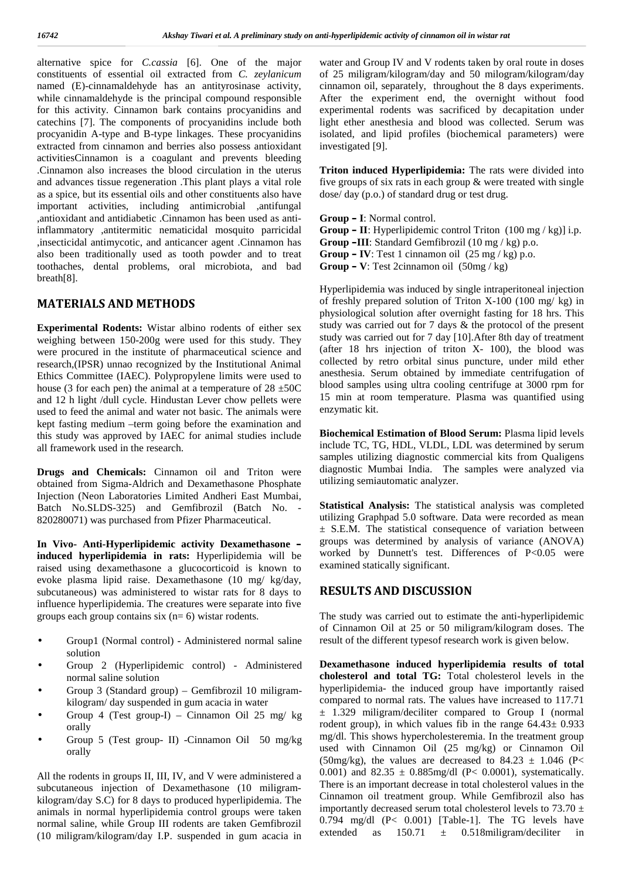alternative spice for *C.cassia* [6]. One of the major constituents of essential oil extracted from *C. zeylanicum* named (E)-cinnamaldehyde has an antityrosinase activity, while cinnamaldehyde is the principal compound responsible for this activity. Cinnamon bark contains procyanidins and catechins [7]. The components of procyanidins include both procyanidin A-type and B-type linkages. These procyanidins extracted from cinnamon and berries also possess antioxidant activitiesCinnamon is a coagulant and prevents bleeding .Cinnamon also increases the blood circulation in the uterus and advances tissue regeneration .This plant plays a vital role as a spice, but its essential oils and other constituents also have important activities, including antimicrobial ,antifungal ,antioxidant and antidiabetic .Cinnamon has been used as antiinflammatory ,antitermitic nematicidal mosquito parricidal ,insecticidal antimycotic, and anticancer agent .Cinnamon has also been traditionally used as tooth powder and to treat toothaches, dental problems, oral microbiota, and bad breath[8].

## **MATERIALS AND METHODS**

**Experimental Rodents:** Wistar albino rodents of either sex weighing between 150-200g were used for this study. They were procured in the institute of pharmaceutical science and research,(IPSR) unnao recognized by the Institutional Animal Ethics Committee (IAEC). Polypropylene limits were used to house (3 for each pen) the animal at a temperature of  $28 \pm 50C$ and 12 h light /dull cycle. Hindustan Lever chow pellets were used to feed the animal and water not basic. The animals were kept fasting medium –term going before the examination and this study was approved by IAEC for animal studies include all framework used in the research.

**Drugs and Chemicals:** Cinnamon oil and Triton were obtained from Sigma-Aldrich and Dexamethasone Phosphate Injection (Neon Laboratories Limited Andheri East Mumbai, Batch No.SLDS-325) and Gemfibrozil (Batch No. - 820280071) was purchased from Pfizer Pharmaceutical.

**In Vivo- Anti-Hyperlipidemic activity Dexamethasone – induced hyperlipidemia in rats:** Hyperlipidemia will be raised using dexamethasone a glucocorticoid is known to evoke plasma lipid raise. Dexamethasone (10 mg/ kg/day, subcutaneous) was administered to wistar rats for 8 days to influence hyperlipidemia. The creatures were separate into five groups each group contains six  $(n= 6)$  wistar rodents.

- Group1 (Normal control) Administered normal saline solution
- Group 2 (Hyperlipidemic control) Administered normal saline solution
- Group 3 (Standard group) Gemfibrozil 10 miligram kilogram/ day suspended in gum acacia in water
- Group 4 (Test group-I) Cinnamon Oil 25 mg/ kg orally
- Group 5 (Test group- II) -Cinnamon Oil 50 mg/kg orally

All the rodents in groups II, III, IV, and V were administered a subcutaneous injection of Dexamethasone (10 miligram kilogram/day S.C) for 8 days to produced hyperlipidemia. The animals in normal hyperlipidemia control groups were taken normal saline, while Group III rodents are taken Gemfibrozil  $0.794$  mg/dl (10 milionem/kilogram/day LP, supported in sum agocia in extended as (10 miligram/kilogram/day I.P. suspended in gum acacia in

water and Group IV and V rodents taken by oral route in doses of 25 miligram/kilogram/day and 50 milogram/kilogram/day cinnamon oil, separately, throughout the 8 days experiments. After the experiment end, the overnight without food experimental rodents was sacrificed by decapitation under light ether anesthesia and blood was collected. Serum was isolated, and lipid profiles (biochemical parameters) were investigated [9].

**Triton induced Hyperlipidemia:** The rats were divided into five groups of six rats in each group & were treated with single dose/ day (p.o.) of standard drug or test drug.

**Group – I**: Normal control.

- **Group – II**: Hyperlipidemic control Triton (100 mg / kg)] i.p.
- **Group –III**: Standard Gemfibrozil (10 mg / kg) p.o.
- **Group IV**: Test 1 cinnamon oil  $(25 \text{ mg} / \text{kg})$  p.o.

**Group – V**: Test 2cinnamon oil (50mg / kg)

Hyperlipidemia was induced by single intraperitoneal injection of freshly prepared solution of Triton X-100 (100 mg/ kg) in physiological solution after overnight fasting for 18 hrs. This study was carried out for 7 days & the protocol of the present study was carried out for 7 day [10].After 8th day of treatment (after 18 hrs injection of triton X- 100), the blood was collected by retro orbital sinus puncture, under mild ether anesthesia. Serum obtained by immediate centrifugation of blood samples using ultra cooling centrifuge at 3000 rpm for 15 min at room temperature. Plasma was quantified using enzymatic kit.

**Biochemical Estimation of Blood Serum:** Plasma lipid levels include TC, TG, HDL, VLDL, LDL was determined by serum samples utilizing diagnostic commercial kits from Qualigens diagnostic Mumbai India. The samples were analyzed via utilizing semiautomatic analyzer.

**Statistical Analysis:** The statistical analysis was completed utilizing Graphpad 5.0 software. Data were recorded as mean ± S.E.M. The statistical consequence of variation between groups was determined by analysis of variance (ANOVA) worked by Dunnett's test. Differences of P<0.05 were examined statically significant.

## **RESULTS AND DISCUSSION**

The study was carried out to estimate the anti-hyperlipidemic of Cinnamon Oil at 25 or 50 miligram/kilogram doses. The result of the different typesof research work is given below.

**Dexamethasone induced hyperlipidemia results of total cholesterol and total TG:** Total cholesterol levels in the hyperlipidemia- the induced group have importantly raised compared to normal rats. The values have increased to 117.71 ± 1.329 miligram/deciliter compared to Group I (normal rodent group), in which values fib in the range  $64.43 \pm 0.933$ mg/dl. This shows hypercholesteremia. In the treatment group used with Cinnamon Oil (25 mg/kg) or Cinnamon Oil (50mg/kg), the values are decreased to 84.23  $\pm$  1.046 (P< 0.001) and  $82.35 \pm 0.885$  mg/dl (P< 0.0001), systematically. There is an important decrease in total cholesterol values in the Cinnamon oil treatment group. While Gemfibrozil also has importantly decreased serum total cholesterol levels to  $73.70 \pm$ 0.794 mg/dl (P< 0.001) [Table-1]. The TG levels have  $150.71 \pm 0.518$ miligram/deciliter in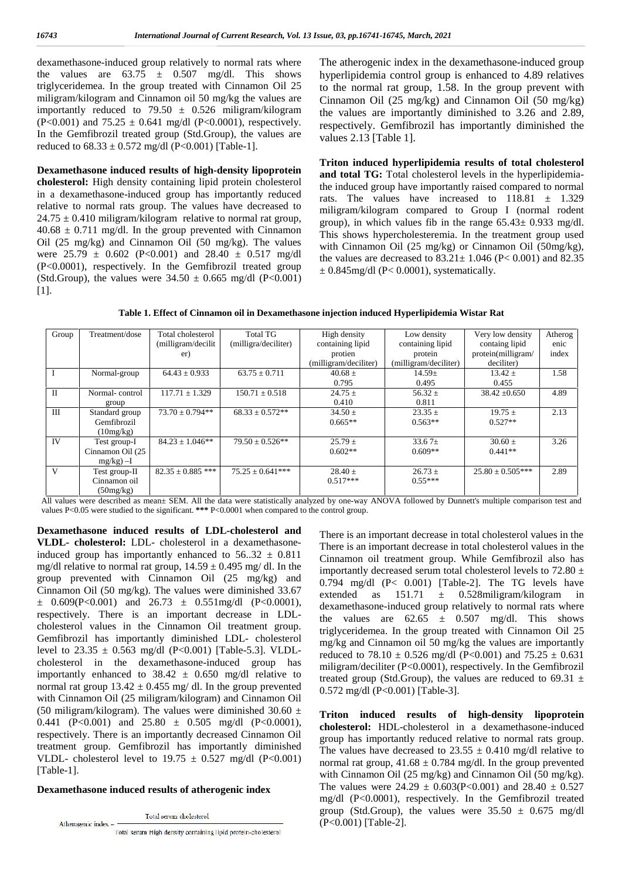dexamethasone-induced group relatively to normal rats where the values are  $63.75 \pm 0.507$  mg/dl. This shows triglyceridemea. In the group treated with Cinnamon Oil 25 miligram/kilogram and Cinnamon oil 50 mg/kg the values are importantly reduced to 79.50  $\pm$  0.526 miligram/kilogram  $(P<0.001)$  and  $75.25 \pm 0.641$  mg/dl  $(P<0.0001)$ , respectively. In the Gemfibrozil treated group (Std.Group), the values are reduced to  $68.33 \pm 0.572$  mg/dl (P<0.001) [Table-1].

**Dexamethasone induced results of high-density lipoprotein cholesterol:** High density containing lipid protein cholesterol in a dexamethasone-induced group has importantly reduced relative to normal rats group. The values have decreased to  $24.75 \pm 0.410$  miligram/kilogram relative to normal rat group,  $40.68 \pm 0.711$  mg/dl. In the group prevented with Cinnamon Oil (25 mg/kg) and Cinnamon Oil (50 mg/kg). The values were  $25.79 \pm 0.602$  (P<0.001) and  $28.40 \pm 0.517$  mg/dl (P<0.0001), respectively. In the Gemfibrozil treated group (Std.Group), the values were  $34.50 \pm 0.665$  mg/dl (P<0.001) [1].

The atherogenic index in the dexamethasone-induced group hyperlipidemia control group is enhanced to 4.89 relatives to the normal rat group, 1.58. In the group prevent with Cinnamon Oil (25 mg/kg) and Cinnamon Oil (50 mg/kg) the values are importantly diminished to 3.26 and 2.89, respectively. Gemfibrozil has importantly diminished the values 2.13 [Table 1].

**Triton induced hyperlipidemia results of total cholesterol and total TG:** Total cholesterol levels in the hyperlipidemiathe induced group have importantly raised compared to normal rats. The values have increased to  $118.81 \pm 1.329$ miligram/kilogram compared to Group I (normal rodent group), in which values fib in the range  $65.43 \pm 0.933$  mg/dl. This shows hypercholesteremia. In the treatment group used with Cinnamon Oil (25 mg/kg) or Cinnamon Oil (50mg/kg), the values are decreased to  $83.21 \pm 1.046$  (P< 0.001) and 82.35  $\pm$  0.845mg/dl (P< 0.0001), systematically.

**Table 1. Effect of Cinnamon oil in Dexamethasone injection induced Hyperlipidemia Wistar Rat**

| Group        | Treatment/dose   | Total cholesterol     | <b>Total TG</b>      | High density          | Low density           | Very low density   | Atherog |
|--------------|------------------|-----------------------|----------------------|-----------------------|-----------------------|--------------------|---------|
|              |                  | (milligram/decilit)   | (milligra/deciliter) | containing lipid      | containing lipid      | containg lipid     | enic    |
|              |                  | er)                   |                      | protien               | protein               | protein(milligram/ | index   |
|              |                  |                       |                      | (milligram/deciliter) | (milligram/deciliter) | deciliter)         |         |
|              | Normal-group     | $64.43 \pm 0.933$     | $63.75 \pm 0.711$    | $40.68 \pm$           | $14.59 \pm$           | $13.42 \pm$        | 1.58    |
|              |                  |                       |                      | 0.795                 | 0.495                 | 0.455              |         |
| $\mathbf{I}$ | Normal-control   | $117.71 \pm 1.329$    | $150.71 \pm 0.518$   | $24.75 \pm$           | $56.32 \pm$           | $38.42 \pm 0.650$  | 4.89    |
|              | group            |                       |                      | 0.410                 | 0.811                 |                    |         |
| ΠI           | Standard group   | $73.70 \pm 0.794**$   | $68.33 \pm 0.572**$  | $34.50 \pm$           | $23.35 \pm$           | $19.75 \pm$        | 2.13    |
|              | Gemfibrozil      |                       |                      | $0.665**$             | $0.563**$             | $0.527**$          |         |
|              | (10mg/kg)        |                       |                      |                       |                       |                    |         |
| IV           | Test group-I     | $84.23 \pm 1.046**$   | $79.50 \pm 0.526$ ** | $25.79 \pm$           | 33.67 $\pm$           | $30.60 \pm$        | 3.26    |
|              | Cinnamon Oil (25 |                       |                      | $0.602**$             | $0.609**$             | $0.441**$          |         |
|              | $mg/kg$ ) -I     |                       |                      |                       |                       |                    |         |
| V            | Test group-II    | $82.35 \pm 0.885$ *** | $75.25 + 0.641***$   | $28.40 \pm$           | $26.73 \pm$           | $25.80 + 0.505***$ | 2.89    |
|              | Cinnamon oil     |                       |                      | $0.517***$            | $0.55***$             |                    |         |
|              | (50mg/kg)        |                       |                      |                       |                       |                    |         |

All values were described as mean± SEM. All the data were statistically analyzed by one-way ANOVA followed by Dunnett's multiple comparison test and values P<0.05 were studied to the significant. **\*\*\*** P<0.0001 when compared to the control group.

**Dexamethasone induced results of LDL-cholesterol and VLDL- cholesterol:** LDL- cholesterol in a dexamethasoneinduced group has importantly enhanced to  $56..32 \pm 0.811$ mg/dl relative to normal rat group,  $14.59 \pm 0.495$  mg/dl. In the group prevented with Cinnamon Oil (25 mg/kg) and Cinnamon Oil (50 mg/kg). The values were diminished  $33.67$  extended  $\pm$  0.609(P<0.001) and 26.73  $\pm$  0.551mg/dl (P<0.0001), respectively. There is an important decrease in LDL cholesterol values in the Cinnamon Oil treatment group. Gemfibrozil has importantly diminished LDL- cholesterol level to  $23.35 \pm 0.563$  mg/dl (P<0.001) [Table-5.3]. VLDLcholesterol in the dexamethasone-induced group has importantly enhanced to  $38.42 \pm 0.650$  mg/dl relative to normal rat group  $13.42 \pm 0.455$  mg/ dl. In the group prevented with Cinnamon Oil (25 miligram/kilogram) and Cinnamon Oil (50 miligram/kilogram). The values were diminished 30.60  $\pm$ 0.441 (P<0.001) and  $25.80 \pm 0.505$  mg/dl (P<0.0001), respectively. There is an importantly decreased Cinnamon Oil treatment group. Gemfibrozil has importantly diminished VLDL- cholesterol level to  $19.75 \pm 0.527$  mg/dl (P<0.001) [Table-1].

#### **Dexamethasone induced results of atherogenic index**

Total serum cholesterol

Atherogenic index -Total serum High density containing lipid protein-cholesterol There is an important decrease in total cholesterol values in the There is an important decrease in total cholesterol values in the Cinnamon oil treatment group. While Gemfibrozil also has importantly decreased serum total cholesterol levels to 72.80 ± 0.794 mg/dl (P< 0.001) [Table-2]. The TG levels have as  $151.71 \pm 0.528$ miligram/kilogram in dexamethasone-induced group relatively to normal rats where the values are  $62.65 \pm 0.507$  mg/dl. This shows triglyceridemea. In the group treated with Cinnamon Oil 25 mg/kg and Cinnamon oil 50 mg/kg the values are importantly reduced to 78.10  $\pm$  0.526 mg/dl (P<0.001) and 75.25  $\pm$  0.631 miligram/deciliter (P<0.0001), respectively. In the Gemfibrozil treated group (Std.Group), the values are reduced to 69.31  $\pm$ 0.572 mg/dl (P<0.001) [Table-3].

**Triton induced results of high-density lipoprotein cholesterol:** HDL-cholesterol in a dexamethasone-induced group has importantly reduced relative to normal rats group. The values have decreased to  $23.55 \pm 0.410$  mg/dl relative to normal rat group,  $41.68 \pm 0.784$  mg/dl. In the group prevented with Cinnamon Oil (25 mg/kg) and Cinnamon Oil (50 mg/kg). The values were  $24.29 \pm 0.603(P<0.001)$  and  $28.40 \pm 0.527$ mg/dl (P<0.0001), respectively. In the Gemfibrozil treated group (Std.Group), the values were  $35.50 \pm 0.675$  mg/dl (P<0.001) [Table-2].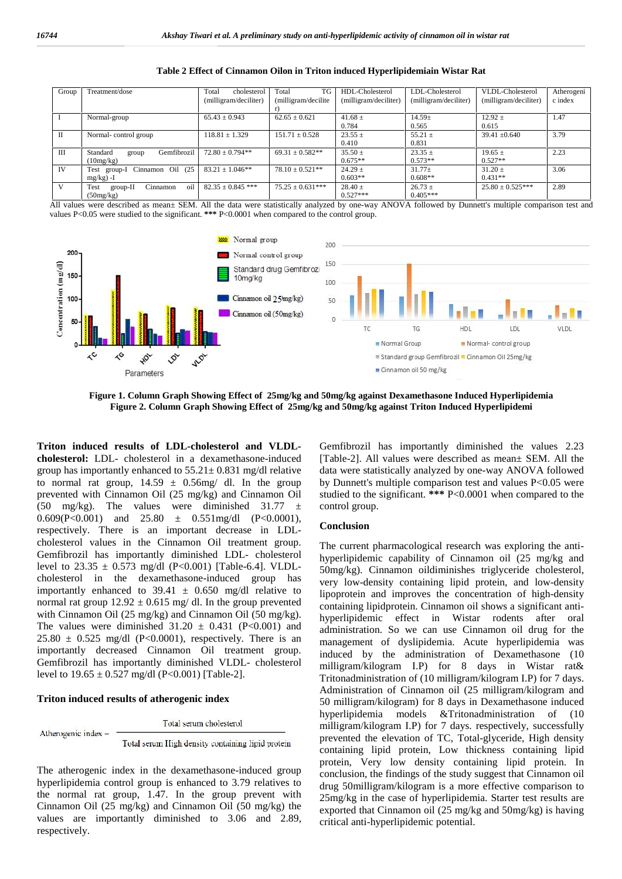| Group        | Treatment/dose                      | Total<br>cholesterol  | TG<br>Total          | HDL-Cholesterol       | LDL-Cholesterol       | VLDL-Cholesterol      | Atherogeni |
|--------------|-------------------------------------|-----------------------|----------------------|-----------------------|-----------------------|-----------------------|------------|
|              |                                     | (milligram/deciliter) | (milligram/decilite) | (milligram/deciliter) | (milligram/deciliter) | (milligram/deciliter) | c index    |
|              |                                     |                       |                      |                       |                       |                       |            |
|              | Normal-group                        | $65.43 \pm 0.943$     | $62.65 \pm 0.621$    | $41.68 \pm$           | $14.59 \pm$           | $12.92 \pm$           | 1.47       |
|              |                                     |                       |                      | 0.784                 | 0.565                 | 0.615                 |            |
| П            | Normal-control group                | $118.81 \pm 1.329$    | $151.71 \pm 0.528$   | $23.55 \pm$           | 55.21 $\pm$           | $39.41 \pm 0.640$     | 3.79       |
|              |                                     |                       |                      | 0.410                 | 0.831                 |                       |            |
| $\mathbf{H}$ | Gemfibrozil<br>Standard<br>group    | $72.80 + 0.794**$     | $69.31 \pm 0.582**$  | $35.50 \pm$           | $23.35 \pm$           | $19.65 +$             | 2.23       |
|              | (10mg/kg)                           |                       |                      | $0.675**$             | $0.573**$             | $0.527**$             |            |
| IV           | Cinnamon Oil (25<br>Test group-I    | $83.21 \pm 1.046**$   | $78.10 + 0.521**$    | $24.29 \pm$           | $31.77 \pm$           | $31.20 \pm$           | 3.06       |
|              | $mg/kg$ ) -I                        |                       |                      | $0.603**$             | $0.608**$             | $0.431**$             |            |
| V            | oil<br>Test<br>Cinnamon<br>group-II | $82.35 \pm 0.845$ *** | $75.25 \pm 0.631***$ | $28.40 \pm$           | $26.73 \pm$           | $25.80 \pm 0.525***$  | 2.89       |
|              | (50mg/kg)                           |                       |                      | $0.527***$            | $0.405***$            |                       |            |

**Table 2 Effect of Cinnamon Oilon in Triton induced Hyperlipidemiain Wistar Rat**

All values were described as mean± SEM. All the data were statistically analyzed by one-way ANOVA followed by Dunnett's multiple comparison test and values P<0.05 were studied to the significant. \*\*\* P<0.0001 when compared to the control group.



**Figure 1. Column Graph Showing Effect of 25mg/kg and 50mg/kg against Dexamethasone Induced Hyperlipidemia Figure 2. Column Graph Showing Effect of 25mg/kg and 50mg/kg against Triton Induced Hyperlipidemi**

**Triton induced results of LDL-cholesterol and VLDL cholesterol:** LDL- cholesterol in a dexamethasone-induced group has importantly enhanced to  $55.21 \pm 0.831$  mg/dl relative to normal rat group,  $14.59 \pm 0.56$  mg/ dl. In the group prevented with Cinnamon Oil (25 mg/kg) and Cinnamon Oil (50 mg/kg). The values were diminished  $31.77 \pm$ 0.609(P<0.001) and 25.80  $\pm$  0.551mg/dl (P<0.0001), respectively. There is an important decrease in LDL cholesterol values in the Cinnamon Oil treatment group. Gemfibrozil has importantly diminished LDL- cholesterol level to  $23.35 \pm 0.573$  mg/dl (P<0.001) [Table-6.4]. VLDLcholesterol in the dexamethasone-induced group has importantly enhanced to  $39.41 \pm 0.650$  mg/dl relative to normal rat group  $12.92 \pm 0.615$  mg/ dl. In the group prevented with Cinnamon Oil (25 mg/kg) and Cinnamon Oil (50 mg/kg). The values were diminished  $31.20 \pm 0.431$  (P<0.001) and  $25.80 \pm 0.525$  mg/dl (P<0.0001), respectively. There is an importantly decreased Cinnamon Oil treatment group. Gemfibrozil has importantly diminished VLDL- cholesterol level to  $19.65 \pm 0.527$  mg/dl (P<0.001) [Table-2].

#### **Triton induced results of atherogenic index**

Atherogenic index -

Total serum cholesterol

Total serum High density containing lipid protein

The atherogenic index in the dexamethasone-induced group hyperlipidemia control group is enhanced to 3.79 relatives to the normal rat group, 1.47. In the group prevent with Cinnamon Oil (25 mg/kg) and Cinnamon Oil (50 mg/kg) the values are importantly diminished to 3.06 and 2.89, respectively.

Gemfibrozil has importantly diminished the values 2.23 [Table-2]. All values were described as mean± SEM. All the data were statistically analyzed by one-way ANOVA followed by Dunnett's multiple comparison test and values P<0.05 were studied to the significant. **\*\*\*** P<0.0001 when compared to the control group.

#### **Conclusion**

The current pharmacological research was exploring the anti hyperlipidemic capability of Cinnamon oil (25 mg/kg and 50mg/kg). Cinnamon oildiminishes triglyceride cholesterol, very low-density containing lipid protein, and low-density lipoprotein and improves the concentration of high-density containing lipidprotein. Cinnamon oil shows a significant anti hyperlipidemic effect in Wistar rodents after oral administration. So we can use Cinnamon oil drug for the management of dyslipidemia. Acute hyperlipidemia was induced by the administration of Dexamethasone (10 milligram/kilogram I.P) for 8 days in Wistar rat& Tritonadministration of (10 milligram/kilogram I.P) for 7 days. Administration of Cinnamon oil (25 milligram/kilogram and 50 milligram/kilogram) for 8 days in Dexamethasone induced hyperlipidemia models &Tritonadministration of (10 milligram/kilogram I.P) for 7 days. respectively, successfully prevented the elevation of TC, Total-glyceride, High density containing lipid protein, Low thickness containing lipid protein, Very low density containing lipid protein. In conclusion, the findings of the study suggest that Cinnamon oil drug 50milligram/kilogram is a more effective comparison to 25mg/kg in the case of hyperlipidemia. Starter test results are exported that Cinnamon oil (25 mg/kg and 50mg/kg) is having critical anti-hyperlipidemic potential.